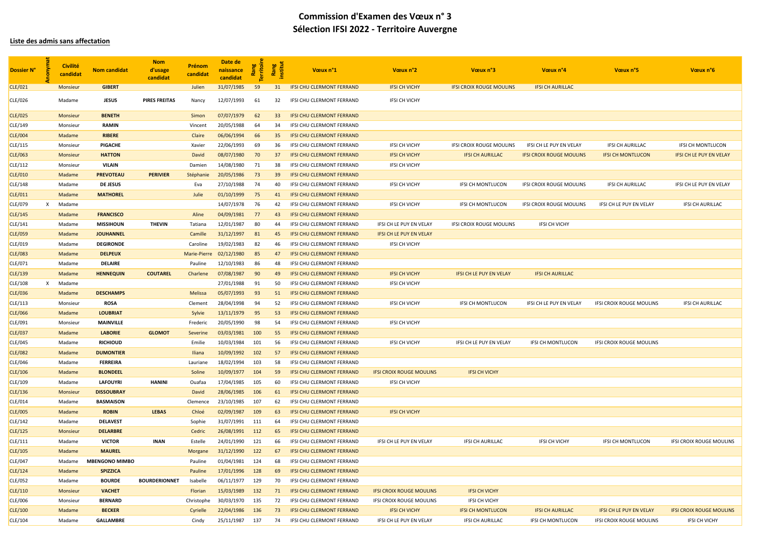### **Liste des admis sans affectation**

| Dossier N°     |   | <b>Civilité</b><br>candidat | <b>Nom candidat</b>   | <b>Nom</b><br>d'usage<br>candidat | Prénom<br>candidat | Date de<br>naissance<br>candidat | Rang<br>erritoi | Rang<br>nstitut | Vœux n°1                         | Vœux n°2                        | Vœux n°3                        | Vœux n°4                        | Vœux n°5                        | Vœux n°6                        |
|----------------|---|-----------------------------|-----------------------|-----------------------------------|--------------------|----------------------------------|-----------------|-----------------|----------------------------------|---------------------------------|---------------------------------|---------------------------------|---------------------------------|---------------------------------|
| CLE/021        |   | <b>Monsieur</b>             | <b>GIBERT</b>         |                                   | Julien             | 31/07/1985                       | 59              | 31              | <b>IFSI CHU CLERMONT FERRAND</b> | <b>IFSI CH VICHY</b>            | <b>IFSI CROIX ROUGE MOULINS</b> | <b>IFSI CH AURILLAC</b>         |                                 |                                 |
| CLE/026        |   | Madame                      | <b>JESUS</b>          | <b>PIRES FREITAS</b>              | Nancy              | 12/07/1993                       | 61              | 32              | IFSI CHU CLERMONT FERRAND        | <b>IFSI CH VICHY</b>            |                                 |                                 |                                 |                                 |
| CLE/025        |   | <b>Monsieur</b>             | <b>BENETH</b>         |                                   | Simon              | 07/07/1979                       | 62              | 33 <sup>°</sup> | IFSI CHU CLERMONT FERRAND        |                                 |                                 |                                 |                                 |                                 |
| CLE/149        |   | Monsieur                    | <b>RAMIN</b>          |                                   | Vincent            | 20/05/1988                       | 64              | 34              | IFSI CHU CLERMONT FERRAND        |                                 |                                 |                                 |                                 |                                 |
| CLE/004        |   | Madame                      | <b>RIBERE</b>         |                                   | Claire             | 06/06/1994                       | 66              | 35              | <b>IFSI CHU CLERMONT FERRAND</b> |                                 |                                 |                                 |                                 |                                 |
| CLE/115        |   | Monsieur                    | <b>PIGACHE</b>        |                                   | Xavier             | 22/06/1993                       | 69              | 36              | IFSI CHU CLERMONT FERRAND        | <b>IFSI CH VICHY</b>            | IFSI CROIX ROUGE MOULINS        | IFSI CH LE PUY EN VELAY         | <b>IFSI CH AURILLAC</b>         | <b>IFSI CH MONTLUCON</b>        |
| CLE/063        |   | <b>Monsieur</b>             | <b>HATTON</b>         |                                   | David              | 08/07/1980                       | 70              | 37              | <b>IFSI CHU CLERMONT FERRAND</b> | <b>IFSI CH VICHY</b>            | <b>IFSI CH AURILLAC</b>         | <b>IFSI CROIX ROUGE MOULINS</b> | <b>IFSI CH MONTLUCON</b>        | <b>IFSI CH LE PUY EN VELAY</b>  |
| CLE/112        |   | Monsieur                    | <b>VILAIN</b>         |                                   | Damien             | 14/08/1980                       | 71              | 38              | IFSI CHU CLERMONT FERRAND        | <b>IFSI CH VICHY</b>            |                                 |                                 |                                 |                                 |
| CLE/010        |   | Madame                      | <b>PREVOTEAU</b>      | <b>PERIVIER</b>                   | Stéphanie          | 20/05/1986                       | 73              | 39              | <b>IFSI CHU CLERMONT FERRAND</b> |                                 |                                 |                                 |                                 |                                 |
| CLE/148        |   | Madame                      | <b>DE JESUS</b>       |                                   | Eva                | 27/10/1988                       | 74              | 40              | IFSI CHU CLERMONT FERRAND        | <b>IFSI CH VICHY</b>            | IFSI CH MONTLUCON               | <b>IFSI CROIX ROUGE MOULINS</b> | <b>IFSI CH AURILLAC</b>         | IFSI CH LE PUY EN VELAY         |
| CLE/011        |   | Madame                      | <b>MATHOREL</b>       |                                   | Julie              | 01/10/1999                       | 75              | 41              | <b>IFSI CHU CLERMONT FERRAND</b> |                                 |                                 |                                 |                                 |                                 |
| CLE/079        |   | Madame                      |                       |                                   |                    | 14/07/1978                       | 76              | 42              | IFSI CHU CLERMONT FERRAND        | <b>IFSI CH VICHY</b>            | <b>IFSI CH MONTLUCON</b>        | IFSI CROIX ROUGE MOULINS        | IFSI CH LE PUY EN VELAY         | <b>IFSI CH AURILLAC</b>         |
| CLE/145        |   | Madame                      | <b>FRANCISCO</b>      |                                   | Aline              | 04/09/1981                       | 77              | 43              | <b>IFSI CHU CLERMONT FERRAND</b> |                                 |                                 |                                 |                                 |                                 |
| CLE/141        |   | Madame                      | <b>MISSIHOUN</b>      | <b>THEVIN</b>                     | Tatiana            | 12/01/1987                       | 80              | 44              | IFSI CHU CLERMONT FERRAND        | IFSI CH LE PUY EN VELAY         | IFSI CROIX ROUGE MOULINS        | IFSI CH VICHY                   |                                 |                                 |
| CLE/059        |   | Madame                      | <b>JOUHANNEL</b>      |                                   | Camille            | 31/12/1997                       | 81              | 45              | <b>IFSI CHU CLERMONT FERRAND</b> | IFSI CH LE PUY EN VELAY         |                                 |                                 |                                 |                                 |
| CLE/019        |   | Madame                      | <b>DEGIRONDE</b>      |                                   | Caroline           | 19/02/1983                       | 82              | 46              | IFSI CHU CLERMONT FERRAND        | <b>IFSI CH VICHY</b>            |                                 |                                 |                                 |                                 |
| CLE/083        |   | Madame                      | <b>DELPEUX</b>        |                                   | Marie-Pierre       | 02/12/1980                       | 85              | 47              | <b>IFSI CHU CLERMONT FERRAND</b> |                                 |                                 |                                 |                                 |                                 |
| CLE/071        |   | Madame                      | <b>DELAIRE</b>        |                                   | Pauline            | 12/10/1983                       | 86              | 48              | IFSI CHU CLERMONT FERRAND        |                                 |                                 |                                 |                                 |                                 |
| CLE/139        |   | Madame                      | <b>HENNEQUIN</b>      | <b>COUTAREL</b>                   | Charlene           | 07/08/1987                       | 90              | 49              | <b>IFSI CHU CLERMONT FERRAND</b> | <b>IFSI CH VICHY</b>            | IFSI CH LE PUY EN VELAY         | <b>IFSI CH AURILLAC</b>         |                                 |                                 |
| CLE/108        | X | Madame                      |                       |                                   |                    | 27/01/1988                       | 91              | 50              | IFSI CHU CLERMONT FERRAND        | <b>IFSI CH VICHY</b>            |                                 |                                 |                                 |                                 |
| CLE/036        |   | Madame                      | <b>DESCHAMPS</b>      |                                   | <b>Melissa</b>     | 05/07/1993                       | 93              | 51              | <b>IFSI CHU CLERMONT FERRAND</b> |                                 |                                 |                                 |                                 |                                 |
| CLE/113        |   | Monsieur                    | <b>ROSA</b>           |                                   | Clement            | 28/04/1998                       | 94              | 52              | IFSI CHU CLERMONT FERRAND        | <b>IFSI CH VICHY</b>            | <b>IFSI CH MONTLUCON</b>        | IFSI CH LE PUY EN VELAY         | <b>IFSI CROIX ROUGE MOULINS</b> | <b>IFSI CH AURILLAC</b>         |
| CLE/066        |   | Madame                      | <b>LOUBRIAT</b>       |                                   | Sylvie             | 13/11/1979                       | 95              | 53              | <b>IFSI CHU CLERMONT FERRAND</b> |                                 |                                 |                                 |                                 |                                 |
| CLE/091        |   | Monsieur                    | <b>MAINVILLE</b>      |                                   | Frederic           | 20/05/1990                       | 98              | 54              | IFSI CHU CLERMONT FERRAND        | IFSI CH VICHY                   |                                 |                                 |                                 |                                 |
| CLE/037        |   | Madame                      | <b>LABORIE</b>        | <b>GLOMOT</b>                     | Severine           | 03/03/1981                       | 100             | 55              | <b>IFSI CHU CLERMONT FERRAND</b> |                                 |                                 |                                 |                                 |                                 |
| CLE/045        |   | Madame                      | <b>RICHIOUD</b>       |                                   | Emilie             | 10/03/1984 101                   |                 | 56              | IFSI CHU CLERMONT FERRAND        | IFSI CH VICHY                   | IFSI CH LE PUY EN VELAY         | IFSI CH MONTLUCON               | IFSI CROIX ROUGE MOULINS        |                                 |
| <b>CLE/082</b> |   | Madame                      | <b>DUMONTIER</b>      |                                   | <b>Iliana</b>      | 10/09/1992 102                   |                 | 57              | IFSI CHU CLERMONT FERRAND        |                                 |                                 |                                 |                                 |                                 |
| CLE/046        |   | Madame                      | <b>FERREIRA</b>       |                                   | Lauriane           | 18/02/1994                       | 103             | 58              | <b>IFSI CHU CLERMONT FERRAND</b> |                                 |                                 |                                 |                                 |                                 |
| CLE/106        |   | Madame                      | <b>BLONDEEL</b>       |                                   | Soline             | 10/09/1977                       | 104             | 59              | IFSI CHU CLERMONT FERRAND        | <b>IFSI CROIX ROUGE MOULINS</b> | <b>IFSI CH VICHY</b>            |                                 |                                 |                                 |
| CLE/109        |   | Madame                      | <b>LAFOUYRI</b>       | HANINI                            | Ouafaa             | 17/04/1985                       | 105             | 60              | IFSI CHU CLERMONT FERRAND        | <b>IFSI CH VICHY</b>            |                                 |                                 |                                 |                                 |
| CLE/136        |   | <b>Monsieur</b>             | <b>DISSOUBRAY</b>     |                                   | David              | 28/06/1985                       | 106             | 61              | <b>IFSI CHU CLERMONT FERRAND</b> |                                 |                                 |                                 |                                 |                                 |
| CLE/014        |   | Madame                      | <b>BASMAISON</b>      |                                   | Clemence           | 23/10/1985                       | 107             | 62              | IFSI CHU CLERMONT FERRAND        |                                 |                                 |                                 |                                 |                                 |
| CLE/005        |   | Madame                      | <b>ROBIN</b>          | <b>LEBAS</b>                      | Chloé              | 02/09/1987                       | 109             | 63              | <b>IFSI CHU CLERMONT FERRAND</b> | <b>IFSI CH VICHY</b>            |                                 |                                 |                                 |                                 |
| CLE/142        |   | Madame                      | <b>DELAVEST</b>       |                                   | Sophie             | 31/07/1991 111                   |                 | 64              | IFSI CHU CLERMONT FERRAND        |                                 |                                 |                                 |                                 |                                 |
| CLE/125        |   | <b>Monsieur</b>             | <b>DELARBRE</b>       |                                   | Cedric             | 26/08/1991                       | 112             | 65              | IFSI CHU CLERMONT FERRAND        |                                 |                                 |                                 |                                 |                                 |
| CLE/111        |   | Madame                      | <b>VICTOR</b>         | INAN                              | Estelle            | 24/01/1990 121                   |                 | 66              | IFSI CHU CLERMONT FERRAND        | IFSI CH LE PUY EN VELAY         | IFSI CH AURILLAC                | IFSI CH VICHY                   | <b>IFSI CH MONTLUCON</b>        | IFSI CROIX ROUGE MOULINS        |
| CLE/105        |   | Madame                      | <b>MAUREL</b>         |                                   | Morgane            | 31/12/1990                       | 122             | -67             | <b>IFSI CHU CLERMONT FERRAND</b> |                                 |                                 |                                 |                                 |                                 |
| CLE/047        |   | Madame                      | <b>MBENGONO MIMBO</b> |                                   | Pauline            | 01/04/1981                       | 124             | 68              | IFSI CHU CLERMONT FERRAND        |                                 |                                 |                                 |                                 |                                 |
| CLE/124        |   | Madame                      | <b>SPIZZICA</b>       |                                   | Pauline            | 17/01/1996                       | 128             | 69              | <b>IFSI CHU CLERMONT FERRAND</b> |                                 |                                 |                                 |                                 |                                 |
| CLE/052        |   | Madame                      | <b>BOURDE</b>         | <b>BOURDERIONNET</b>              | Isabelle           | 06/11/1977                       | 129             | 70              | IFSI CHU CLERMONT FERRAND        |                                 |                                 |                                 |                                 |                                 |
| CLE/110        |   | <b>Monsieur</b>             | <b>VACHET</b>         |                                   | Florian            | 15/03/1989                       | 132             | 71              | IFSI CHU CLERMONT FERRAND        | <b>IFSI CROIX ROUGE MOULINS</b> | <b>IFSI CH VICHY</b>            |                                 |                                 |                                 |
| CLE/006        |   | Monsieur                    | <b>BERNARD</b>        |                                   | Christophe         | 30/03/1970                       | 135             | 72              | IFSI CHU CLERMONT FERRAND        | IFSI CROIX ROUGE MOULINS        | IFSI CH VICHY                   |                                 |                                 |                                 |
| CLE/100        |   | Madame                      | <b>BECKER</b>         |                                   | Cyrielle           | 22/04/1986                       | 136             | 73              | IFSI CHU CLERMONT FERRAND        | <b>IFSI CH VICHY</b>            | <b>IFSI CH MONTLUCON</b>        | <b>IFSI CH AURILLAC</b>         | <b>IFSI CH LE PUY EN VELAY</b>  | <b>IFSI CROIX ROUGE MOULINS</b> |
| CLE/104        |   | Madame                      | <b>GALLAMBRE</b>      |                                   | Cindy              | 25/11/1987                       | 137             | 74              | IFSI CHU CLERMONT FERRAND        | IFSI CH LE PUY EN VELAY         | <b>IFSI CH AURILLAC</b>         | <b>IFSI CH MONTLUCON</b>        | IFSI CROIX ROUGE MOULINS        | <b>IFSI CH VICHY</b>            |

# **Commission d'Examen des Vœux n° 3 Sélection IFSI 2022 - Territoire Auvergne**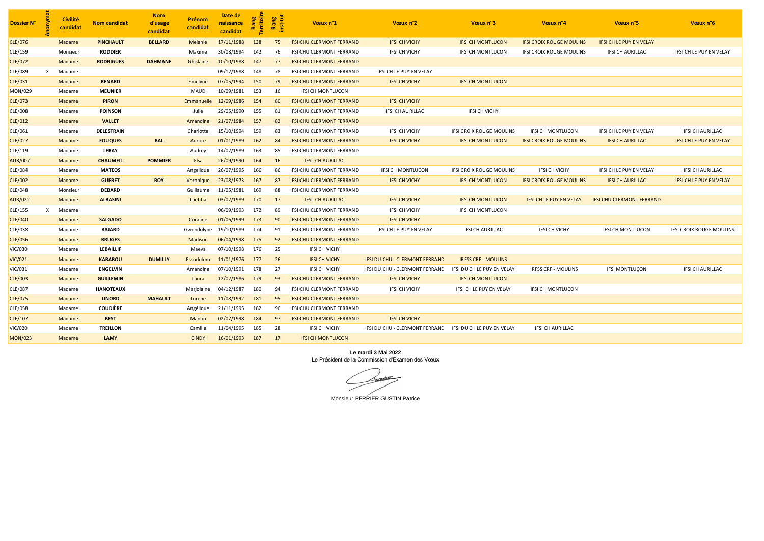| Dossier N°     |   | <b>Civilité</b><br>candidat | <b>Nom candidat</b> | <b>Nom</b><br>d'usage<br>candidat | <b>Prénom</b><br>candidat | Date de<br>naissance<br>candidat | Rang<br>Territoi | Rang<br>institut | Vœux n°1                         | Vœux n°2                              | Vœux n°3                        | Vœux n°4                        | Vœux n°5                         | Vœux n°6                        |
|----------------|---|-----------------------------|---------------------|-----------------------------------|---------------------------|----------------------------------|------------------|------------------|----------------------------------|---------------------------------------|---------------------------------|---------------------------------|----------------------------------|---------------------------------|
| <b>CLE/076</b> |   | Madame                      | <b>PINCHAULT</b>    | <b>BELLARD</b>                    | Melanie                   | 17/11/1988                       | 138              | 75               | <b>IFSI CHU CLERMONT FERRAND</b> | <b>IFSI CH VICHY</b>                  | <b>IFSI CH MONTLUCON</b>        | <b>IFSI CROIX ROUGE MOULINS</b> | <b>IFSI CH LE PUY EN VELAY</b>   |                                 |
| CLE/159        |   | Monsieur                    | <b>RODDIER</b>      |                                   | Maxime                    | 30/08/1994                       | 142              | 76               | IFSI CHU CLERMONT FERRAND        | <b>IFSI CH VICHY</b>                  | <b>IFSI CH MONTLUCON</b>        | IFSI CROIX ROUGE MOULINS        | <b>IFSI CH AURILLAC</b>          | IFSI CH LE PUY EN VELAY         |
| CLE/072        |   | Madame                      | <b>RODRIGUES</b>    | <b>DAHMANE</b>                    | Ghislaine                 | 10/10/1988                       | 147              | 77               | <b>IFSI CHU CLERMONT FERRAND</b> |                                       |                                 |                                 |                                  |                                 |
| <b>CLE/089</b> | x | Madame                      |                     |                                   |                           | 09/12/1988                       | 148              | 78               | IFSI CHU CLERMONT FERRAND        | IFSI CH LE PUY EN VELAY               |                                 |                                 |                                  |                                 |
| CLE/031        |   | Madame                      | <b>RENARD</b>       |                                   | Emelyne                   | 07/05/1994                       | 150              | 79               | <b>IFSI CHU CLERMONT FERRAND</b> | <b>IFSI CH VICHY</b>                  | <b>IFSI CH MONTLUCON</b>        |                                 |                                  |                                 |
| MON/029        |   | Madame                      | <b>MEUNIER</b>      |                                   | <b>MAUD</b>               | 10/09/1981                       | 153              | 16               | <b>IFSI CH MONTLUCON</b>         |                                       |                                 |                                 |                                  |                                 |
| CLE/073        |   | Madame                      | <b>PIRON</b>        |                                   | Emmanuelle                | 12/09/1986                       | 154              | 80               | <b>IFSI CHU CLERMONT FERRAND</b> | <b>IFSI CH VICHY</b>                  |                                 |                                 |                                  |                                 |
| CLE/008        |   | Madame                      | <b>POINSON</b>      |                                   | Julie                     | 29/05/1990                       | 155              | 81               | IFSI CHU CLERMONT FERRAND        | <b>IFSI CH AURILLAC</b>               | <b>IFSI CH VICHY</b>            |                                 |                                  |                                 |
| CLE/012        |   | Madame                      | <b>VALLET</b>       |                                   | Amandine                  | 21/07/1984                       | 157              | 82               | <b>IFSI CHU CLERMONT FERRAND</b> |                                       |                                 |                                 |                                  |                                 |
| CLE/061        |   | Madame                      | <b>DELESTRAIN</b>   |                                   | Charlotte                 | 15/10/1994                       | 159              | 83               | IFSI CHU CLERMONT FERRAND        | <b>IFSI CH VICHY</b>                  | <b>IFSI CROIX ROUGE MOULINS</b> | <b>IFSI CH MONTLUCON</b>        | IFSI CH LE PUY EN VELAY          | <b>IFSI CH AURILLAC</b>         |
| <b>CLE/027</b> |   | Madame                      | <b>FOUQUES</b>      | <b>BAL</b>                        | Aurore                    | 01/01/1989                       | 162              | 84               | <b>IFSI CHU CLERMONT FERRAND</b> | <b>IFSI CH VICHY</b>                  | <b>IFSI CH MONTLUCON</b>        | <b>IFSI CROIX ROUGE MOULINS</b> | <b>IFSI CH AURILLAC</b>          | <b>IFSI CH LE PUY EN VELAY</b>  |
| CLE/119        |   | Madame                      | <b>LERAY</b>        |                                   | Audrey                    | 14/02/1989                       | 163              | 85               | IFSI CHU CLERMONT FERRAND        |                                       |                                 |                                 |                                  |                                 |
| <b>AUR/007</b> |   | Madame                      | <b>CHAUMEIL</b>     | <b>POMMIER</b>                    | Elsa                      | 26/09/1990                       | 164              | 16               | <b>IFSI CH AURILLAC</b>          |                                       |                                 |                                 |                                  |                                 |
| <b>CLE/084</b> |   | Madame                      | <b>MATEOS</b>       |                                   | Angelique                 | 26/07/1995                       | 166              | 86               | IFSI CHU CLERMONT FERRAND        | <b>IFSI CH MONTLUCON</b>              | <b>IFSI CROIX ROUGE MOULINS</b> | <b>IFSI CH VICHY</b>            | IFSI CH LE PUY EN VELAY          | <b>IFSI CH AURILLAC</b>         |
| <b>CLE/002</b> |   | Madame                      | <b>GUERET</b>       | <b>ROY</b>                        | Veronique                 | 23/08/1973                       | 167              | 87               | <b>IFSI CHU CLERMONT FERRAND</b> | <b>IFSI CH VICHY</b>                  | <b>IFSI CH MONTLUCON</b>        | <b>IFSI CROIX ROUGE MOULINS</b> | <b>IFSI CH AURILLAC</b>          | <b>IFSI CH LE PUY EN VELAY</b>  |
| CLE/048        |   | Monsieur                    | <b>DEBARD</b>       |                                   | Guillaume                 | 11/05/1981                       | 169              | 88               | IFSI CHU CLERMONT FERRAND        |                                       |                                 |                                 |                                  |                                 |
| <b>AUR/022</b> |   | Madame                      | <b>ALBASINI</b>     |                                   | Laëtitia                  | 03/02/1989                       | 170              | 17               | <b>IFSI CH AURILLAC</b>          | <b>IFSI CH VICHY</b>                  | <b>IFSI CH MONTLUCON</b>        | IFSI CH LE PUY EN VELAY         | <b>IFSI CHU CLERMONT FERRAND</b> |                                 |
| CLE/155        | x | Madame                      |                     |                                   |                           | 06/09/1993                       | 172              | 89               | IFSI CHU CLERMONT FERRAND        | <b>IFSI CH VICHY</b>                  | <b>IFSI CH MONTLUCON</b>        |                                 |                                  |                                 |
| <b>CLE/040</b> |   | Madame                      | <b>SALGADO</b>      |                                   | Coraline                  | 01/06/1999                       | 173              | 90               | <b>IFSI CHU CLERMONT FERRAND</b> | <b>IFSI CH VICHY</b>                  |                                 |                                 |                                  |                                 |
| <b>CLE/038</b> |   | Madame                      | <b>BAJARD</b>       |                                   | Gwendolyne                | 19/10/1989                       | 174              | 91               | <b>IFSI CHU CLERMONT FERRAND</b> | IFSI CH LE PUY EN VELAY               | <b>IFSI CH AURILLAC</b>         | IFSI CH VICHY                   | <b>IFSI CH MONTLUCON</b>         | <b>IFSI CROIX ROUGE MOULINS</b> |
| <b>CLE/056</b> |   | Madame                      | <b>BRUGES</b>       |                                   | Madison                   | 06/04/1998                       | 175              | 92               | <b>IFSI CHU CLERMONT FERRAND</b> |                                       |                                 |                                 |                                  |                                 |
| VIC/030        |   | Madame                      | <b>LEBAILLIF</b>    |                                   | Maeva                     | 07/10/1998                       | 176              | 25               | <b>IFSI CH VICHY</b>             |                                       |                                 |                                 |                                  |                                 |
| <b>VIC/021</b> |   | Madame                      | <b>KARABOU</b>      | <b>DUMILLY</b>                    | Essodolom                 | 11/01/1976                       | 177              | 26               | <b>IFSI CH VICHY</b>             | <b>IFSI DU CHU - CLERMONT FERRAND</b> | <b>IRFSS CRF - MOULINS</b>      |                                 |                                  |                                 |
| VIC/031        |   | Madame                      | <b>ENGELVIN</b>     |                                   | Amandine                  | 07/10/1991                       | 178              | 27               | IFSI CH VICHY                    | IFSI DU CHU - CLERMONT FERRAND        | IFSI DU CH LE PUY EN VELAY      | <b>IRFSS CRF - MOULINS</b>      | <b>IFSI MONTLUÇON</b>            | <b>IFSI CH AURILLAC</b>         |
| <b>CLE/003</b> |   | Madame                      | <b>GUILLEMIN</b>    |                                   | Laura                     | 12/02/1986                       | 179              | 93               | <b>IFSI CHU CLERMONT FERRAND</b> | <b>IFSI CH VICHY</b>                  | <b>IFSI CH MONTLUCON</b>        |                                 |                                  |                                 |
| <b>CLE/087</b> |   | Madame                      | <b>HANOTEAUX</b>    |                                   | Marjolaine                | 04/12/1987                       | 180              | 94               | IFSI CHU CLERMONT FERRAND        | <b>IFSI CH VICHY</b>                  | IFSI CH LE PUY EN VELAY         | <b>IFSI CH MONTLUCON</b>        |                                  |                                 |
| <b>CLE/075</b> |   | Madame                      | <b>LINORD</b>       | <b>MAHAULT</b>                    | Lurene                    | 11/08/1992                       | 181              | 95               | <b>IFSI CHU CLERMONT FERRAND</b> |                                       |                                 |                                 |                                  |                                 |
| CLE/058        |   | Madame                      | <b>COUDIÈRE</b>     |                                   | Angélique                 | 21/11/1995                       | 182              | 96               | <b>IFSI CHU CLERMONT FERRAND</b> |                                       |                                 |                                 |                                  |                                 |
| CLE/107        |   | Madame                      | <b>BEST</b>         |                                   | Manon                     | 02/07/1998                       | 184              | 97               | <b>IFSI CHU CLERMONT FERRAND</b> | <b>IFSI CH VICHY</b>                  |                                 |                                 |                                  |                                 |
| VIC/020        |   | Madame                      | <b>TREILLON</b>     |                                   | Camille                   | 11/04/1995                       | 185              | 28               | <b>IFSI CH VICHY</b>             | IFSI DU CHU - CLERMONT FERRAND        | IFSI DU CH LE PUY EN VELAY      | <b>IFSI CH AURILLAC</b>         |                                  |                                 |
| <b>MON/023</b> |   | Madame                      | <b>LAMY</b>         |                                   | <b>CINDY</b>              | 16/01/1993                       | 187              | 17               | <b>IFSI CH MONTLUCON</b>         |                                       |                                 |                                 |                                  |                                 |

#### **Le mardi 3 Mai 2022** Le Président de la Commission d'Examen des Vœux

PODOS

Monsieur PERRIER GUSTIN Patrice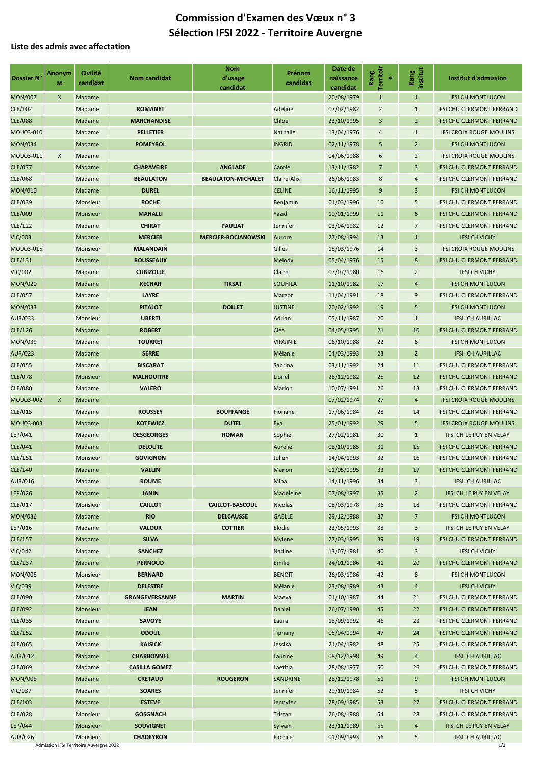## **Liste des admis avec affectation**

|                | <b>Anonym</b>  | <b>Civilité</b>                         |                       | <b>Nom</b>                 | Prénom             | Date de    |                                |                  |                                  |
|----------------|----------------|-----------------------------------------|-----------------------|----------------------------|--------------------|------------|--------------------------------|------------------|----------------------------------|
| Dossier N°     | at             | candidat                                | <b>Nom candidat</b>   | d'usage                    | candidat           | naissance  | Territoir<br>Rang<br>$\bullet$ | institut<br>Rang | <b>Institut d'admission</b>      |
|                |                |                                         |                       | candidat                   |                    | candidat   |                                |                  |                                  |
| <b>MON/007</b> | $\pmb{\times}$ | Madame                                  |                       |                            |                    | 20/08/1979 | $\mathbf{1}$                   | $\mathbf{1}$     | <b>IFSI CH MONTLUCON</b>         |
| CLE/102        |                | Madame                                  | <b>ROMANET</b>        |                            | Adeline            | 07/02/1982 | $\overline{2}$                 | $\mathbf{1}$     | IFSI CHU CLERMONT FERRAND        |
| <b>CLE/088</b> |                | Madame                                  | <b>MARCHANDISE</b>    |                            | Chloe              | 23/10/1995 | $\mathsf 3$                    | 2 <sup>1</sup>   | <b>IFSI CHU CLERMONT FERRAND</b> |
| MOU03-010      |                | Madame                                  | <b>PELLETIER</b>      |                            | Nathalie           | 13/04/1976 | 4                              | $\mathbf{1}$     | <b>IFSI CROIX ROUGE MOULINS</b>  |
| <b>MON/034</b> |                | Madame                                  | <b>POMEYROL</b>       |                            | <b>INGRID</b>      | 02/11/1978 | $5\phantom{.0}$                | $\overline{2}$   | <b>IFSI CH MONTLUCON</b>         |
| MOU03-011      | X              | Madame                                  |                       |                            |                    | 04/06/1988 | 6                              | $\overline{2}$   | <b>IFSI CROIX ROUGE MOULINS</b>  |
| CLE/077        |                | Madame                                  | <b>CHAPAVEIRE</b>     | <b>ANGLADE</b>             | Carole             | 13/11/1982 | $\overline{7}$                 | 3                | IFSI CHU CLERMONT FERRAND        |
| CLE/068        |                | Madame                                  | <b>BEAULATON</b>      | <b>BEAULATON-MICHALET</b>  | <b>Claire-Alix</b> | 26/06/1983 | $\bf 8$                        | 4                | IFSI CHU CLERMONT FERRAND        |
| <b>MON/010</b> |                | Madame                                  | <b>DUREL</b>          |                            | <b>CELINE</b>      | 16/11/1995 | 9                              | 3                | <b>IFSI CH MONTLUCON</b>         |
| CLE/039        |                | <b>Monsieur</b>                         | <b>ROCHE</b>          |                            | Benjamin           | 01/03/1996 | 10                             | 5                | IFSI CHU CLERMONT FERRAND        |
| CLE/009        |                | Monsieur                                | <b>MAHALLI</b>        |                            | Yazid              | 10/01/1999 | 11                             | 6                | <b>IFSI CHU CLERMONT FERRAND</b> |
| CLE/122        |                | Madame                                  | <b>CHIRAT</b>         | <b>PAULIAT</b>             | Jennifer           | 03/04/1982 | 12                             | $\overline{7}$   | IFSI CHU CLERMONT FERRAND        |
| <b>VIC/003</b> |                | Madame                                  | <b>MERCIER</b>        | <b>MERCIER-BOCIANOWSKI</b> | Aurore             | 27/08/1994 | 13                             | $\mathbf{1}$     | <b>IFSI CH VICHY</b>             |
| MOU03-015      |                | Monsieur                                | <b>MALANDAIN</b>      |                            | Gilles             | 15/03/1976 | 14                             | 3                | <b>IFSI CROIX ROUGE MOULINS</b>  |
| CLE/131        |                | Madame                                  | <b>ROUSSEAUX</b>      |                            | Melody             | 05/04/1976 | 15                             | $\bf 8$          | <b>IFSI CHU CLERMONT FERRAND</b> |
| <b>VIC/002</b> |                | Madame                                  | <b>CUBIZOLLE</b>      |                            | Claire             | 07/07/1980 | 16                             | $\overline{2}$   | <b>IFSI CH VICHY</b>             |
| <b>MON/020</b> |                | Madame                                  | <b>KECHAR</b>         | <b>TIKSAT</b>              | <b>SOUHILA</b>     | 11/10/1982 | 17                             | 4                | <b>IFSI CH MONTLUCON</b>         |
| CLE/057        |                | Madame                                  | <b>LAYRE</b>          |                            | Margot             | 11/04/1991 | 18                             | 9                | IFSI CHU CLERMONT FERRAND        |
| <b>MON/033</b> |                | Madame                                  | <b>PITALOT</b>        | <b>DOLLET</b>              | <b>JUSTINE</b>     | 20/02/1992 | 19                             | 5                | <b>IFSI CH MONTLUCON</b>         |
| AUR/033        |                | Monsieur                                | <b>UBERTI</b>         |                            | Adrian             | 05/11/1987 | 20                             | $\mathbf{1}$     | IFSI CH AURILLAC                 |
| CLE/126        |                | Madame                                  | <b>ROBERT</b>         |                            | Clea               | 04/05/1995 | 21                             | 10               | IFSI CHU CLERMONT FERRAND        |
| <b>MON/039</b> |                | Madame                                  | <b>TOURRET</b>        |                            | <b>VIRGINIE</b>    | 06/10/1988 | 22                             | 6                | <b>IFSI CH MONTLUCON</b>         |
| <b>AUR/023</b> |                | Madame                                  | <b>SERRE</b>          |                            | Mélanie            | 04/03/1993 | 23                             | $\overline{2}$   | <b>IFSI CH AURILLAC</b>          |
| CLE/055        |                | Madame                                  | <b>BISCARAT</b>       |                            | Sabrina            | 03/11/1992 | 24                             | 11               | IFSI CHU CLERMONT FERRAND        |
| <b>CLE/078</b> |                | Monsieur                                | <b>MALHOUITRE</b>     |                            | Lionel             | 28/12/1982 | 25                             | 12               | IFSI CHU CLERMONT FERRAND        |
| CLE/080        |                | Madame                                  | <b>VALERO</b>         |                            | <b>Marion</b>      | 10/07/1991 | 26                             | 13               | IFSI CHU CLERMONT FERRAND        |
| MOU03-002      | $\mathsf{X}$   | Madame                                  |                       |                            |                    | 07/02/1974 | 27                             | $\overline{4}$   | <b>IFSI CROIX ROUGE MOULINS</b>  |
| CLE/015        |                | Madame                                  | <b>ROUSSEY</b>        | <b>BOUFFANGE</b>           | Floriane           | 17/06/1984 | 28                             | 14               | IFSI CHU CLERMONT FERRAND        |
| MOU03-003      |                | Madame                                  | <b>KOTEWICZ</b>       | <b>DUTEL</b>               | Eva                | 25/01/1992 | 29                             | 5                | <b>IFSI CROIX ROUGE MOULINS</b>  |
| LEP/041        |                | Madame                                  | <b>DESGEORGES</b>     | <b>ROMAN</b>               | Sophie             | 27/02/1981 | 30                             | $\mathbf{1}$     | IFSI CH LE PUY EN VELAY          |
| CLE/041        |                | Madame                                  | <b>DELOUTE</b>        |                            | Aurelie            | 08/10/1985 | 31                             | 15               | <b>IFSI CHU CLERMONT FERRAND</b> |
| CLE/151        |                | Monsieur                                | <b>GOVIGNON</b>       |                            | Julien             | 14/04/1993 | 32                             | 16               | <b>IFSI CHU CLERMONT FERRAND</b> |
| CLE/140        |                | Madame                                  | <b>VALLIN</b>         |                            | Manon              | 01/05/1995 | 33                             | 17               | <b>IFSI CHU CLERMONT FERRAND</b> |
| <b>AUR/016</b> |                | Madame                                  | <b>ROUME</b>          |                            | Mina               | 14/11/1996 | 34                             | 3                | IFSI CH AURILLAC                 |
| LEP/026        |                | Madame                                  | <b>JANIN</b>          |                            | Madeleine          | 07/08/1997 | 35                             | 2 <sup>1</sup>   | IFSI CH LE PUY EN VELAY          |
| CLE/017        |                | Monsieur                                | <b>CAILLOT</b>        | <b>CAILLOT-BASCOUL</b>     | <b>Nicolas</b>     | 08/03/1978 | 36                             | 18               | IFSI CHU CLERMONT FERRAND        |
|                |                |                                         | <b>RIO</b>            | <b>DELCAUSSE</b>           | <b>GAELLE</b>      | 29/12/1988 | 37                             | $\overline{7}$   | <b>IFSI CH MONTLUCON</b>         |
| <b>MON/036</b> |                | Madame                                  | <b>VALOUR</b>         |                            |                    |            |                                |                  |                                  |
| LEP/016        |                | Madame                                  |                       | <b>COTTIER</b>             | Elodie             | 23/05/1993 | 38                             | 3                | IFSI CH LE PUY EN VELAY          |
| CLE/157        |                | Madame                                  | <b>SILVA</b>          |                            | <b>Mylene</b>      | 27/03/1995 | 39                             | 19               | <b>IFSI CHU CLERMONT FERRAND</b> |
| <b>VIC/042</b> |                | Madame                                  | <b>SANCHEZ</b>        |                            | Nadine             | 13/07/1981 | 40                             | 3                | <b>IFSI CH VICHY</b>             |
| CLE/137        |                | Madame                                  | <b>PERNOUD</b>        |                            | Emilie             | 24/01/1986 | 41                             | 20               | <b>IFSI CHU CLERMONT FERRAND</b> |
| <b>MON/005</b> |                | Monsieur                                | <b>BERNARD</b>        |                            | <b>BENOIT</b>      | 26/03/1986 | 42                             | 8                | <b>IFSI CH MONTLUCON</b>         |
| <b>VIC/039</b> |                | Madame                                  | <b>DELESTRE</b>       |                            | Mélanie            | 23/08/1989 | 43                             | 4                | <b>IFSI CH VICHY</b>             |
| CLE/090        |                | Madame                                  | <b>GRANGEVERSANNE</b> | <b>MARTIN</b>              | Maeva              | 01/10/1987 | 44                             | 21               | IFSI CHU CLERMONT FERRAND        |
| CLE/092        |                | <b>Monsieur</b>                         | <b>JEAN</b>           |                            | Daniel             | 26/07/1990 | 45                             | 22               | IFSI CHU CLERMONT FERRAND        |
| CLE/035        |                | Madame                                  | <b>SAVOYE</b>         |                            | Laura              | 18/09/1992 | 46                             | 23               | IFSI CHU CLERMONT FERRAND        |
| CLE/152        |                | Madame                                  | <b>ODOUL</b>          |                            | <b>Tiphany</b>     | 05/04/1994 | 47                             | 24               | <b>IFSI CHU CLERMONT FERRAND</b> |
| CLE/065        |                | Madame                                  | <b>KAISICK</b>        |                            | Jessika            | 21/04/1982 | 48                             | 25               | IFSI CHU CLERMONT FERRAND        |
| <b>AUR/012</b> |                | Madame                                  | <b>CHARBONNEL</b>     |                            | Laurine            | 08/12/1998 | 49                             | $\overline{4}$   | IFSI CH AURILLAC                 |
| CLE/069        |                | Madame                                  | <b>CASILLA GOMEZ</b>  |                            | Laetitia           | 28/08/1977 | 50                             | 26               | IFSI CHU CLERMONT FERRAND        |
| <b>MON/008</b> |                | Madame                                  | <b>CRETAUD</b>        | <b>ROUGERON</b>            | SANDRINE           | 28/12/1978 | 51                             | 9                | <b>IFSI CH MONTLUCON</b>         |
| <b>VIC/037</b> |                | Madame                                  | <b>SOARES</b>         |                            | Jennifer           | 29/10/1984 | 52                             | 5                | <b>IFSI CH VICHY</b>             |
| CLE/103        |                | Madame                                  | <b>ESTEVE</b>         |                            | Jennyfer           | 28/09/1985 | 53                             | 27               | IFSI CHU CLERMONT FERRAND        |
| CLE/028        |                | Monsieur                                | <b>GOSGNACH</b>       |                            | Tristan            | 26/08/1988 | 54                             | 28               | IFSI CHU CLERMONT FERRAND        |
| LEP/044        |                | Monsieur                                | <b>SOUVIGNET</b>      |                            | Sylvain            | 23/11/1989 | 55                             | 4                | IFSI CH LE PUY EN VELAY          |
| <b>AUR/026</b> |                | Monsieur                                | <b>CHADEYRON</b>      |                            | Fabrice            | 01/09/1993 | 56                             | 5                | IFSI CH AURILLAC                 |
|                |                | Admission IFSI Territoire Auvergne 2022 |                       |                            |                    |            |                                |                  | 1/2                              |

# **Commission d'Examen des Vœux n° 3 Sélection IFSI 2022 - Territoire Auvergne**